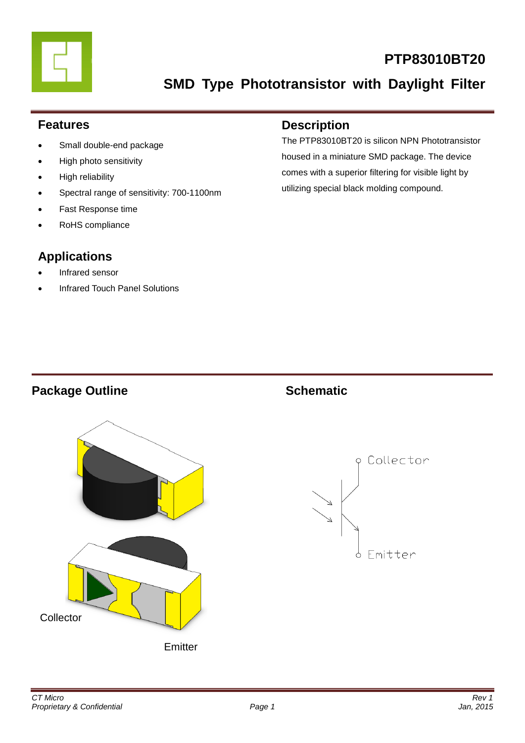

# **PTP83010BT20**

**SMD Type Phototransistor with Daylight Filter**

### **Features**

- Small double-end package
- High photo sensitivity
- High reliability
- Spectral range of sensitivity: 700-1100nm
- Fast Response time
- RoHS compliance

# **Applications**

- Infrared sensor
- Infrared Touch Panel Solutions

### **Description**

The PTP83010BT20 is silicon NPN Phototransistor housed in a miniature SMD package. The device comes with a superior filtering for visible light by utilizing special black molding compound.

# **Package Outline Schematic**



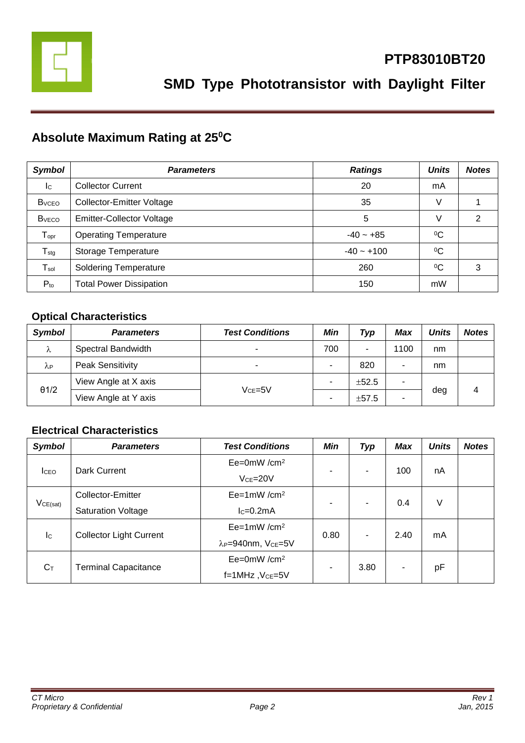

# **Absolute Maximum Rating at 25<sup>0</sup>C**

| <b>Symbol</b>                | <b>Parameters</b>                | <b>Ratings</b> | <b>Units</b> | <b>Notes</b> |
|------------------------------|----------------------------------|----------------|--------------|--------------|
| Ic                           | <b>Collector Current</b>         | 20             | mA           |              |
| <b>B</b> <sub>vCEO</sub>     | <b>Collector-Emitter Voltage</b> | 35             | V            |              |
| <b>B</b> <sub>vECO</sub>     | <b>Emitter-Collector Voltage</b> | 5              | V            | 2            |
| ${\mathsf T}_{\mathsf{opr}}$ | <b>Operating Temperature</b>     | $-40 - +85$    | $^{0}C$      |              |
| $T_{\text{stg}}$             | Storage Temperature              | $-40 - +100$   | $\rm ^{0}C$  |              |
| $T_{sol}$                    | <b>Soldering Temperature</b>     | 260            | $\rm ^{0}C$  | 3            |
| $P_{to}$                     | <b>Total Power Dissipation</b>   | 150            | mW           |              |

### **Optical Characteristics**

| <b>Symbol</b>          | <b>Parameters</b>       | <b>Test Conditions</b>   | Min | Typ        | Max  | <b>Units</b> | <b>Notes</b> |
|------------------------|-------------------------|--------------------------|-----|------------|------|--------------|--------------|
| λ                      | Spectral Bandwidth      | $\overline{\phantom{a}}$ | 700 | ۰          | 1100 | nm           |              |
| $\lambda_{\mathsf{P}}$ | <b>Peak Sensitivity</b> | $\overline{\phantom{a}}$ | ۰   | 820        | ۰    | nm           |              |
| $\theta$ 1/2           | View Angle at X axis    | $VCE=5V$                 | -   | $\pm 52.5$ |      |              |              |
|                        | View Angle at Y axis    |                          | ۰   | ±57.5      | ۰    | deg          | 4            |

#### **Electrical Characteristics**

| <b>Symbol</b>             | <b>Parameters</b>              | <b>Test Conditions</b>                     | Min                      | <b>Typ</b> | <b>Max</b> | <b>Units</b> | <b>Notes</b> |
|---------------------------|--------------------------------|--------------------------------------------|--------------------------|------------|------------|--------------|--------------|
|                           | Dark Current                   | $Ee=0mW/cm^2$                              | $\overline{\phantom{a}}$ | ۰.         | 100        | nA           |              |
| <b>I</b> CEO              |                                | $Vce = 20V$                                |                          |            |            |              |              |
|                           | Collector-Emitter              | $Ee=1mW/cm^2$                              | $\overline{\phantom{0}}$ |            | 0.4        | V            |              |
| VCE(sat)                  | <b>Saturation Voltage</b>      | $lc=0.2mA$                                 |                          | ۰.         |            |              |              |
| $\mathsf{I}_{\mathsf{C}}$ | <b>Collector Light Current</b> | $Ee=1mW/cm^2$                              | 0.80                     | ۰          | 2.40       | mA           |              |
|                           |                                | λ <sub>P</sub> =940nm, V <sub>CE</sub> =5V |                          |            |            |              |              |
| $C_T$                     | <b>Terminal Capacitance</b>    | $Ee=0mW/cm^2$                              | ۰                        | 3.80       | ٠          | pF           |              |
|                           |                                | $f=1$ MHz, $VCE=5V$                        |                          |            |            |              |              |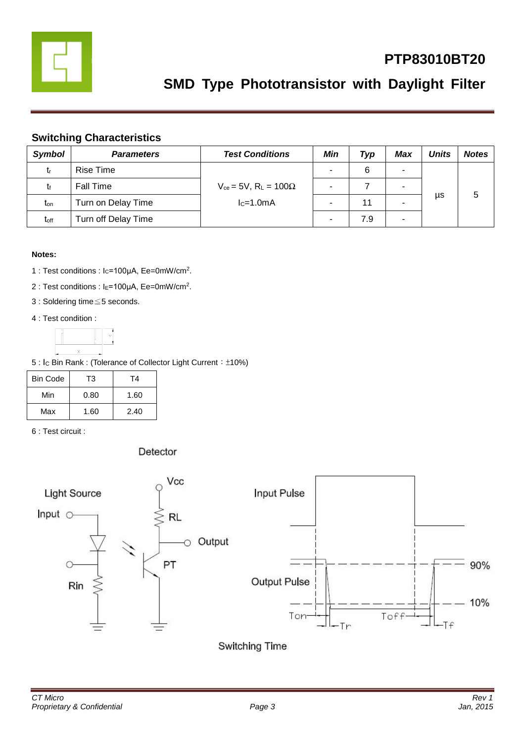

# **PTP83010BT20**

# **SMD Type Phototransistor with Daylight Filter**

#### **Switching Characteristics**

| <b>Symbol</b>    | <b>Parameters</b>   | <b>Test Conditions</b>                       | Min | Typ | <b>Max</b> | <b>Units</b> | <b>Notes</b> |
|------------------|---------------------|----------------------------------------------|-----|-----|------------|--------------|--------------|
| tr               | Rise Time           |                                              |     | 6   | -          |              |              |
| Īf               | <b>Fall Time</b>    | $V_{ce}$ = 5V, R <sub>L</sub> = 100 $\Omega$ |     |     | -          |              |              |
| t <sub>on</sub>  | Turn on Delay Time  | $lc=1.0mA$                                   |     | 11  |            | μs           | 5            |
| t <sub>off</sub> | Turn off Delay Time |                                              |     | 7.9 | ۰          |              |              |

#### **Notes:**

- 1 : Test conditions : Ic=100μA, Ee=0mW/cm<sup>2</sup>.
- 2 : Test conditions : I<sub>E</sub>=100μA, Ee=0mW/cm<sup>2</sup>.
- 3 : Soldering time≦5 seconds.
- 4 : Test condition :



5 : I<sub>C</sub> Bin Rank : (Tolerance of Collector Light Current: ±10%)

| <b>Bin Code</b> | T3   | T4   |
|-----------------|------|------|
| Min             | 0.80 | 1.60 |
| Max             | 1.60 | 2.40 |

6 : Test circuit :

Detector

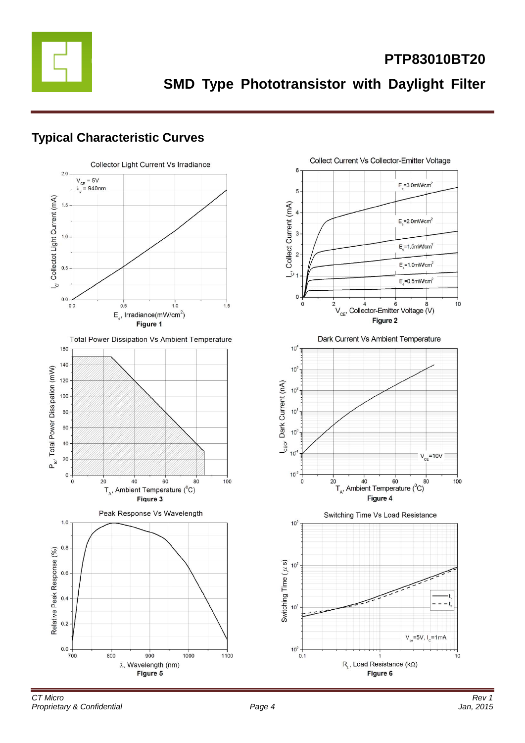

**PTP83010BT20**

**SMD Type Phototransistor with Daylight Filter**

### **Typical Characteristic Curves**

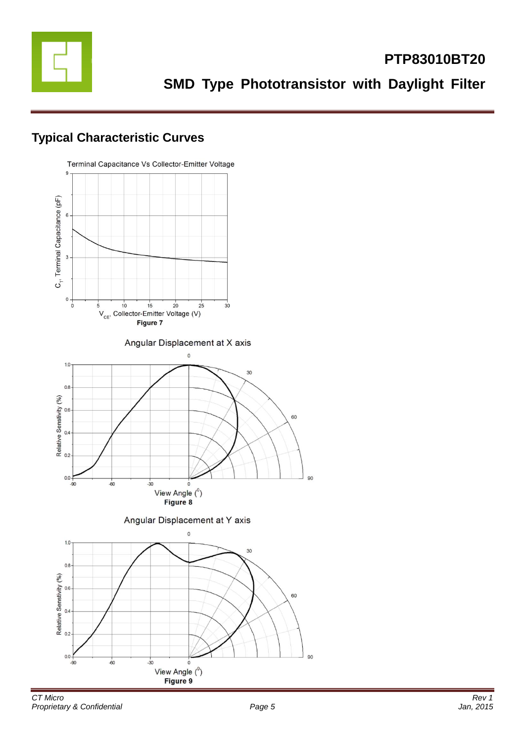

# **Typical Characteristic Curves**

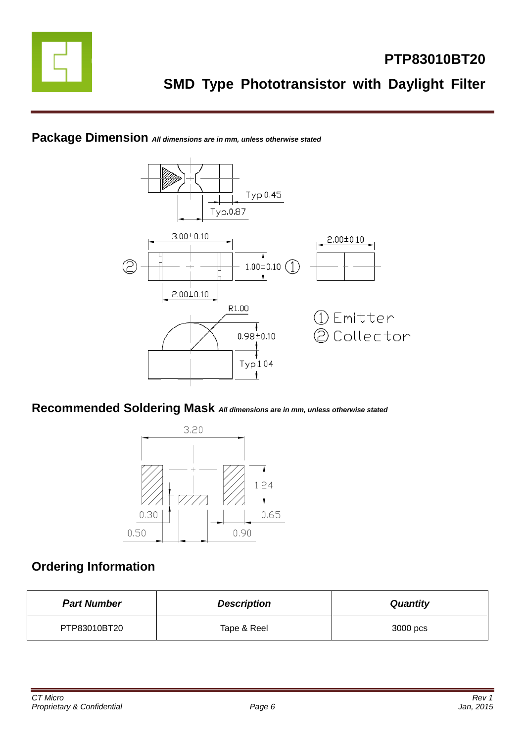





### **Recommended Soldering Mask** *All dimensions are in mm, unless otherwise stated*



# **Ordering Information**

| <b>Part Number</b> | <b>Description</b> | <b>Quantity</b> |
|--------------------|--------------------|-----------------|
| PTP83010BT20       | Tape & Reel        | 3000 pcs        |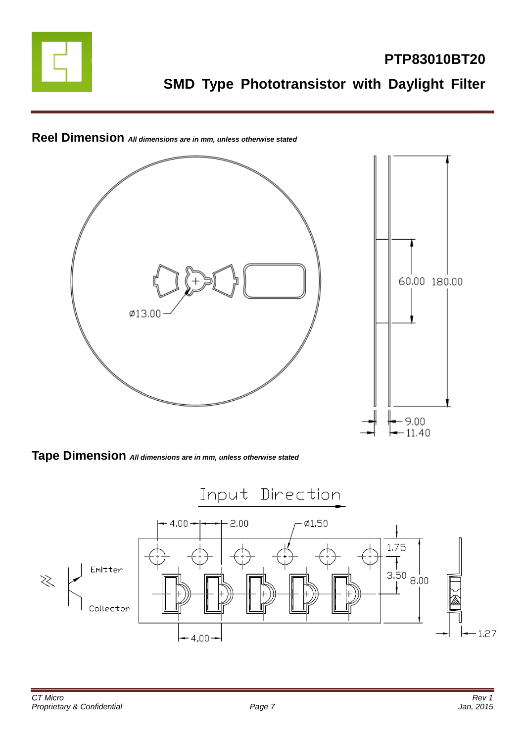



**Reel Dimension** *All dimensions are in mm, unless otherwise stated*

**Tape Dimension** *All dimensions are in mm, unless otherwise stated*

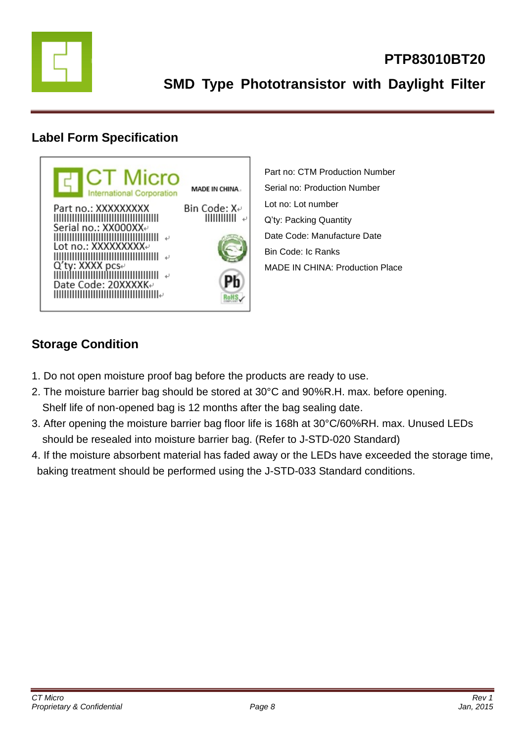

## **Label Form Specification**



Part no: CTM Production Number Serial no: Production Number Lot no: Lot number Q'ty: Packing Quantity Date Code: Manufacture Date Bin Code: Ic Ranks MADE IN CHINA: Production Place

# **Storage Condition**

- 1. Do not open moisture proof bag before the products are ready to use.
- 2. The moisture barrier bag should be stored at 30°C and 90%R.H. max. before opening. Shelf life of non-opened bag is 12 months after the bag sealing date.
- 3. After opening the moisture barrier bag floor life is 168h at 30°C/60%RH. max. Unused LEDs should be resealed into moisture barrier bag. (Refer to J-STD-020 Standard)
- 4. If the moisture absorbent material has faded away or the LEDs have exceeded the storage time, baking treatment should be performed using the J-STD-033 Standard conditions.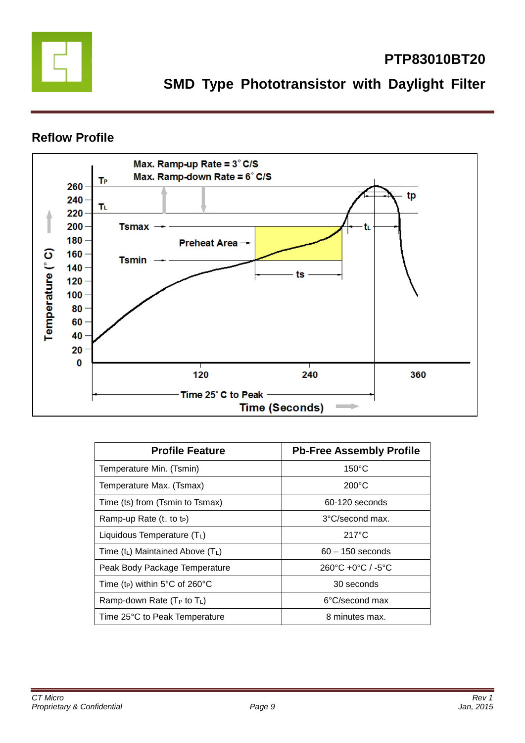

# **PTP83010BT20**

**SMD Type Phototransistor with Daylight Filter**

### **Reflow Profile**



| <b>Profile Feature</b>                     | <b>Pb-Free Assembly Profile</b>                   |
|--------------------------------------------|---------------------------------------------------|
| Temperature Min. (Tsmin)                   | $150^{\circ}$ C                                   |
| Temperature Max. (Tsmax)                   | $200^{\circ}$ C                                   |
| Time (ts) from (Tsmin to Tsmax)            | 60-120 seconds                                    |
| Ramp-up Rate $(tL$ to t <sub>P</sub> )     | 3°C/second max.                                   |
| Liquidous Temperature (TL)                 | $217^{\circ}$ C                                   |
| Time $(t_L)$ Maintained Above $(T_L)$      | $60 - 150$ seconds                                |
| Peak Body Package Temperature              | $260^{\circ}$ C +0 $^{\circ}$ C / -5 $^{\circ}$ C |
| Time (t <sub>P</sub> ) within 5°C of 260°C | 30 seconds                                        |
| Ramp-down Rate ( $T_P$ to $T_L$ )          | 6°C/second max                                    |
| Time 25°C to Peak Temperature              | 8 minutes max.                                    |